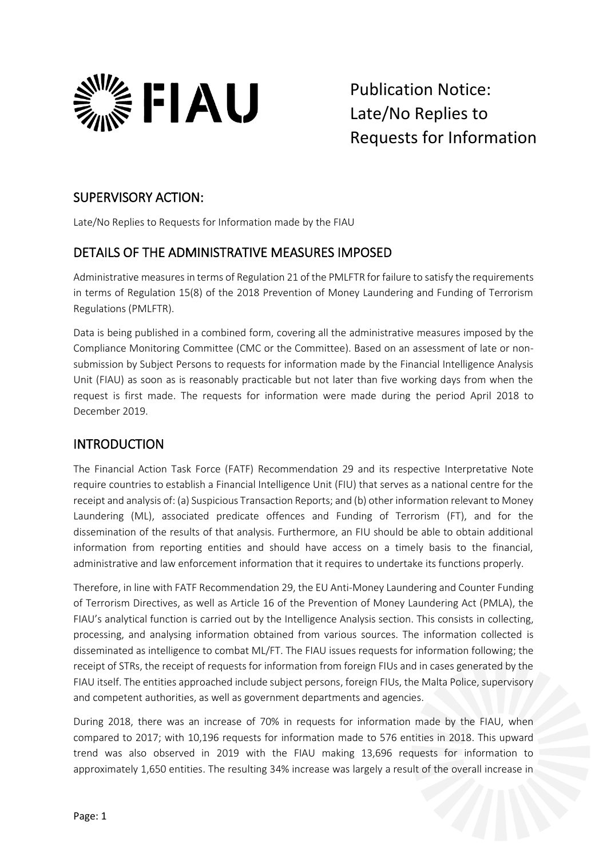

Publication Notice: Late/No Replies to Requests for Information

### SUPERVISORY ACTION:

Late/No Replies to Requests for Information made by the FIAU

# DETAILS OF THE ADMINISTRATIVE MEASURES IMPOSED

Administrative measures in terms of Regulation 21 of the PMLFTR for failure to satisfy the requirements in terms of Regulation 15(8) of the 2018 Prevention of Money Laundering and Funding of Terrorism Regulations (PMLFTR).

Data is being published in a combined form, covering all the administrative measures imposed by the Compliance Monitoring Committee (CMC or the Committee). Based on an assessment of late or nonsubmission by Subject Persons to requests for information made by the Financial Intelligence Analysis Unit (FIAU) as soon as is reasonably practicable but not later than five working days from when the request is first made. The requests for information were made during the period April 2018 to December 2019.

# INTRODUCTION

The Financial Action Task Force (FATF) Recommendation 29 and its respective Interpretative Note require countries to establish a Financial Intelligence Unit (FIU) that serves as a national centre for the receipt and analysis of: (a) Suspicious Transaction Reports; and (b) other information relevant to Money Laundering (ML), associated predicate offences and Funding of Terrorism (FT), and for the dissemination of the results of that analysis. Furthermore, an FIU should be able to obtain additional information from reporting entities and should have access on a timely basis to the financial, administrative and law enforcement information that it requires to undertake its functions properly.

Therefore, in line with FATF Recommendation 29, the EU Anti-Money Laundering and Counter Funding of Terrorism Directives, as well as Article 16 of the Prevention of Money Laundering Act (PMLA), the FIAU's analytical function is carried out by the Intelligence Analysis section. This consists in collecting, processing, and analysing information obtained from various sources. The information collected is disseminated as intelligence to combat ML/FT. The FIAU issues requests for information following; the receipt of STRs, the receipt of requests for information from foreign FIUs and in cases generated by the FIAU itself. The entities approached include subject persons, foreign FIUs, the Malta Police, supervisory and competent authorities, as well as government departments and agencies.

During 2018, there was an increase of 70% in requests for information made by the FIAU, when compared to 2017; with 10,196 requests for information made to 576 entities in 2018. This upward trend was also observed in 2019 with the FIAU making 13,696 requests for information to approximately 1,650 entities. The resulting 34% increase was largely a result of the overall increase in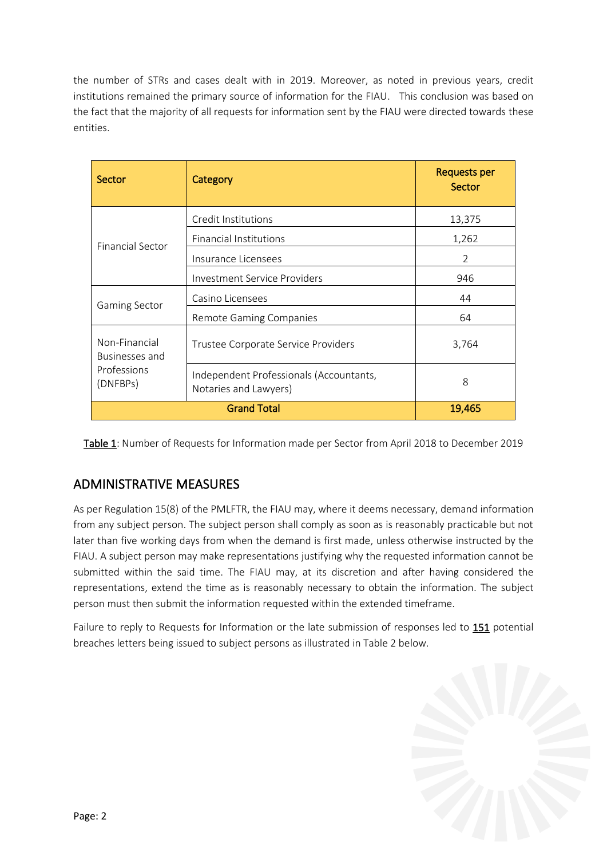the number of STRs and cases dealt with in 2019. Moreover, as noted in previous years, credit institutions remained the primary source of information for the FIAU. This conclusion was based on the fact that the majority of all requests for information sent by the FIAU were directed towards these entities.

| Sector                                                     | Category                                                         | <b>Requests per</b><br>Sector |
|------------------------------------------------------------|------------------------------------------------------------------|-------------------------------|
| <b>Financial Sector</b>                                    | Credit Institutions                                              | 13,375                        |
|                                                            | <b>Financial Institutions</b>                                    | 1,262                         |
|                                                            | Insurance Licensees                                              | 2                             |
|                                                            | <b>Investment Service Providers</b>                              | 946                           |
| <b>Gaming Sector</b>                                       | Casino Licensees                                                 | 44                            |
|                                                            | Remote Gaming Companies                                          | 64                            |
| Non-Financial<br>Businesses and<br>Professions<br>(DNFBPs) | Trustee Corporate Service Providers                              | 3,764                         |
|                                                            | Independent Professionals (Accountants,<br>Notaries and Lawyers) | 8                             |
|                                                            | 19,465                                                           |                               |

Table 1: Number of Requests for Information made per Sector from April 2018 to December 2019

# ADMINISTRATIVE MEASURES

As per Regulation 15(8) of the PMLFTR, the FIAU may, where it deems necessary, demand information from any subject person. The subject person shall comply as soon as is reasonably practicable but not later than five working days from when the demand is first made, unless otherwise instructed by the FIAU. A subject person may make representations justifying why the requested information cannot be submitted within the said time. The FIAU may, at its discretion and after having considered the representations, extend the time as is reasonably necessary to obtain the information. The subject person must then submit the information requested within the extended timeframe.

Failure to reply to Requests for Information or the late submission of responses led to 151 potential breaches letters being issued to subject persons as illustrated in Table 2 below.

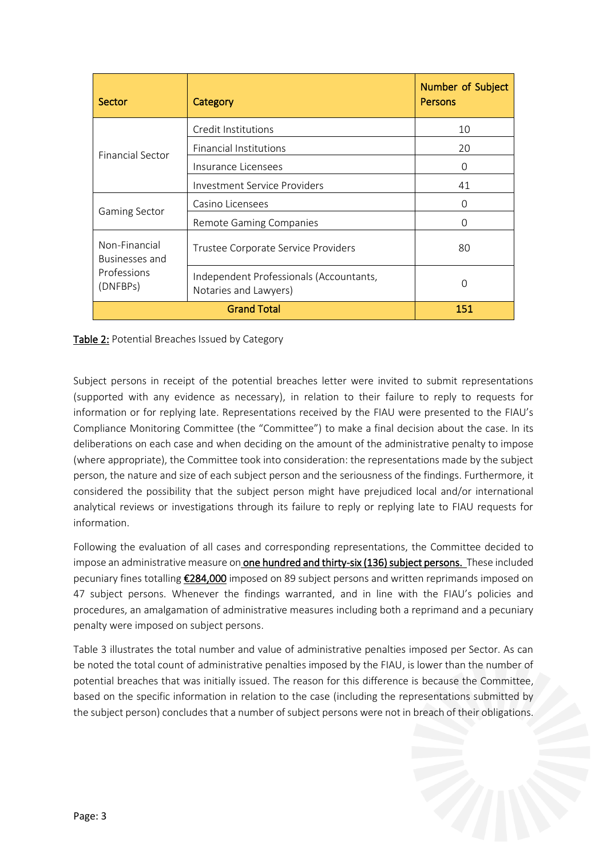| Sector                                                     | Category                                                         | Number of Subject<br>Persons |
|------------------------------------------------------------|------------------------------------------------------------------|------------------------------|
| <b>Financial Sector</b>                                    | Credit Institutions                                              | 10                           |
|                                                            | <b>Financial Institutions</b>                                    | 20                           |
|                                                            | Insurance Licensees                                              | $\Omega$                     |
|                                                            | Investment Service Providers                                     | 41                           |
| <b>Gaming Sector</b>                                       | Casino Licensees                                                 | $\Omega$                     |
|                                                            | Remote Gaming Companies                                          | ∩                            |
| Non-Financial<br>Businesses and<br>Professions<br>(DNFBPs) | Trustee Corporate Service Providers                              | 80                           |
|                                                            | Independent Professionals (Accountants,<br>Notaries and Lawyers) | ∩                            |
|                                                            | 151                                                              |                              |

Table 2: Potential Breaches Issued by Category

Subject persons in receipt of the potential breaches letter were invited to submit representations (supported with any evidence as necessary), in relation to their failure to reply to requests for information or for replying late. Representations received by the FIAU were presented to the FIAU's Compliance Monitoring Committee (the "Committee") to make a final decision about the case. In its deliberations on each case and when deciding on the amount of the administrative penalty to impose (where appropriate), the Committee took into consideration: the representations made by the subject person, the nature and size of each subject person and the seriousness of the findings. Furthermore, it considered the possibility that the subject person might have prejudiced local and/or international analytical reviews or investigations through its failure to reply or replying late to FIAU requests for information.

Following the evaluation of all cases and corresponding representations, the Committee decided to impose an administrative measure on one hundred and thirty-six (136) subject persons. These included pecuniary fines totalling €284,000 imposed on 89 subject persons and written reprimands imposed on 47 subject persons. Whenever the findings warranted, and in line with the FIAU's policies and procedures, an amalgamation of administrative measures including both a reprimand and a pecuniary penalty were imposed on subject persons.

Table 3 illustrates the total number and value of administrative penalties imposed per Sector. As can be noted the total count of administrative penalties imposed by the FIAU, is lower than the number of potential breaches that was initially issued. The reason for this difference is because the Committee, based on the specific information in relation to the case (including the representations submitted by the subject person) concludes that a number of subject persons were not in breach of their obligations.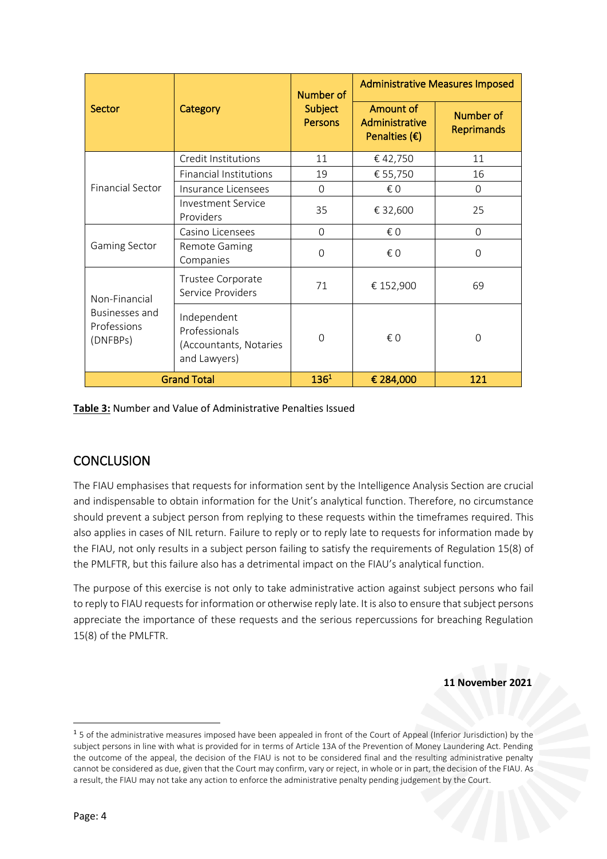| Sector                                                     | Category                                                               | Number of<br><b>Subject</b><br><b>Persons</b> | <b>Administrative Measures Imposed</b>                |                                |
|------------------------------------------------------------|------------------------------------------------------------------------|-----------------------------------------------|-------------------------------------------------------|--------------------------------|
|                                                            |                                                                        |                                               | Amount of<br>Administrative<br>Penalties $(\epsilon)$ | Number of<br><b>Reprimands</b> |
| <b>Financial Sector</b>                                    | Credit Institutions                                                    | 11                                            | €42,750                                               | 11                             |
|                                                            | <b>Financial Institutions</b>                                          | 19                                            | € 55,750                                              | 16                             |
|                                                            | Insurance Licensees                                                    | $\Omega$                                      | € 0                                                   | $\Omega$                       |
|                                                            | <b>Investment Service</b><br>Providers                                 | 35                                            | € 32,600                                              | 25                             |
| <b>Gaming Sector</b>                                       | Casino Licensees                                                       | $\Omega$                                      | € 0                                                   | $\Omega$                       |
|                                                            | Remote Gaming<br>Companies                                             | $\Omega$                                      | $\epsilon$ 0                                          | $\Omega$                       |
| Non-Financial<br>Businesses and<br>Professions<br>(DNFBPs) | Trustee Corporate<br>Service Providers                                 | 71                                            | € 152,900                                             | 69                             |
|                                                            | Independent<br>Professionals<br>(Accountants, Notaries<br>and Lawyers) | $\Omega$                                      | € 0                                                   | $\Omega$                       |
| <b>Grand Total</b>                                         |                                                                        | 136 <sup>1</sup>                              | € 284,000                                             | 121                            |

**Table 3:** Number and Value of Administrative Penalties Issued

### **CONCLUSION**

The FIAU emphasises that requests for information sent by the Intelligence Analysis Section are crucial and indispensable to obtain information for the Unit's analytical function. Therefore, no circumstance should prevent a subject person from replying to these requests within the timeframes required. This also applies in cases of NIL return. Failure to reply or to reply late to requests for information made by the FIAU, not only results in a subject person failing to satisfy the requirements of Regulation 15(8) of the PMLFTR, but this failure also has a detrimental impact on the FIAU's analytical function.

The purpose of this exercise is not only to take administrative action against subject persons who fail to reply to FIAU requests for information or otherwise reply late. It is also to ensure that subject persons appreciate the importance of these requests and the serious repercussions for breaching Regulation 15(8) of the PMLFTR.

**11 November 2021**

<sup>&</sup>lt;sup>1</sup> 5 of the administrative measures imposed have been appealed in front of the Court of Appeal (Inferior Jurisdiction) by the subject persons in line with what is provided for in terms of Article 13A of the Prevention of Money Laundering Act. Pending the outcome of the appeal, the decision of the FIAU is not to be considered final and the resulting administrative penalty cannot be considered as due, given that the Court may confirm, vary or reject, in whole or in part, the decision of the FIAU. As a result, the FIAU may not take any action to enforce the administrative penalty pending judgement by the Court.